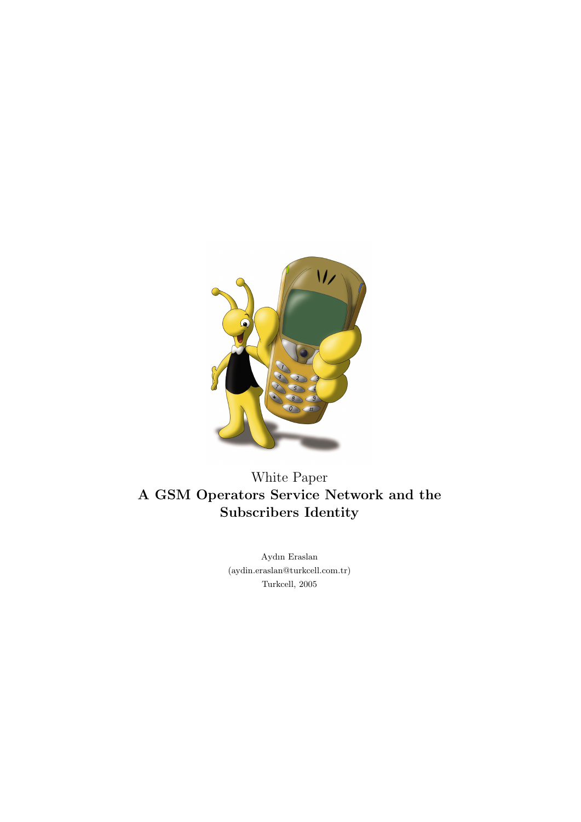

White Paper A GSM Operators Service Network and the Subscribers Identity

> Aydın Eraslan (aydin.eraslan@turkcell.com.tr) Turkcell, 2005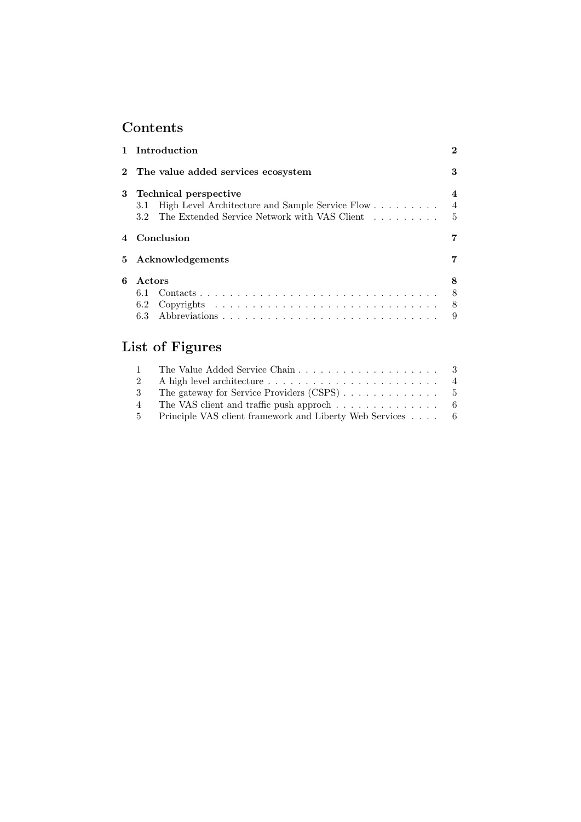# Contents

|   | 1 Introduction                                                                                                                                                                               |                     |  |  |  |  |
|---|----------------------------------------------------------------------------------------------------------------------------------------------------------------------------------------------|---------------------|--|--|--|--|
|   | 2 The value added services ecosystem                                                                                                                                                         |                     |  |  |  |  |
| 3 | Technical perspective<br>$\boldsymbol{4}$<br>$\overline{4}$<br>High Level Architecture and Sample Service Flow<br>3.1<br>The Extended Service Network with VAS Client  5<br>3.2 <sub>1</sub> |                     |  |  |  |  |
|   | 4 Conclusion<br>7                                                                                                                                                                            |                     |  |  |  |  |
|   | 5 Acknowledgements<br>7                                                                                                                                                                      |                     |  |  |  |  |
| 6 | Actors<br>6.1<br>6.2                                                                                                                                                                         | 8<br>-8<br>- 8<br>9 |  |  |  |  |
|   |                                                                                                                                                                                              |                     |  |  |  |  |

# List of Figures

| $1 -$          |                                                                           |
|----------------|---------------------------------------------------------------------------|
|                |                                                                           |
| -3             | The gateway for Service Providers (CSPS) $\ldots \ldots \ldots \ldots$ 5  |
| $\overline{4}$ | The VAS client and traffic push approch $\dots \dots \dots \dots \dots$ 6 |
|                | 5 Principle VAS client framework and Liberty Web Services 6               |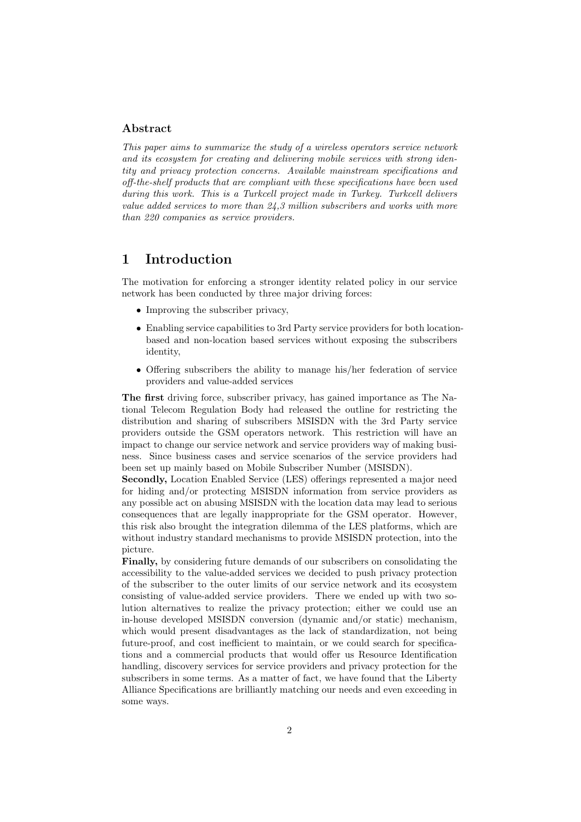### Abstract

This paper aims to summarize the study of a wireless operators service network and its ecosystem for creating and delivering mobile services with strong identity and privacy protection concerns. Available mainstream specifications and off-the-shelf products that are compliant with these specifications have been used during this work. This is a Turkcell project made in Turkey. Turkcell delivers value added services to more than 24,3 million subscribers and works with more than 220 companies as service providers.

### 1 Introduction

The motivation for enforcing a stronger identity related policy in our service network has been conducted by three major driving forces:

- Improving the subscriber privacy,
- Enabling service capabilities to 3rd Party service providers for both locationbased and non-location based services without exposing the subscribers identity,
- Offering subscribers the ability to manage his/her federation of service providers and value-added services

The first driving force, subscriber privacy, has gained importance as The National Telecom Regulation Body had released the outline for restricting the distribution and sharing of subscribers MSISDN with the 3rd Party service providers outside the GSM operators network. This restriction will have an impact to change our service network and service providers way of making business. Since business cases and service scenarios of the service providers had been set up mainly based on Mobile Subscriber Number (MSISDN).

Secondly, Location Enabled Service (LES) offerings represented a major need for hiding and/or protecting MSISDN information from service providers as any possible act on abusing MSISDN with the location data may lead to serious consequences that are legally inappropriate for the GSM operator. However, this risk also brought the integration dilemma of the LES platforms, which are without industry standard mechanisms to provide MSISDN protection, into the picture.

Finally, by considering future demands of our subscribers on consolidating the accessibility to the value-added services we decided to push privacy protection of the subscriber to the outer limits of our service network and its ecosystem consisting of value-added service providers. There we ended up with two solution alternatives to realize the privacy protection; either we could use an in-house developed MSISDN conversion (dynamic and/or static) mechanism, which would present disadvantages as the lack of standardization, not being future-proof, and cost inefficient to maintain, or we could search for specifications and a commercial products that would offer us Resource Identification handling, discovery services for service providers and privacy protection for the subscribers in some terms. As a matter of fact, we have found that the Liberty Alliance Specifications are brilliantly matching our needs and even exceeding in some ways.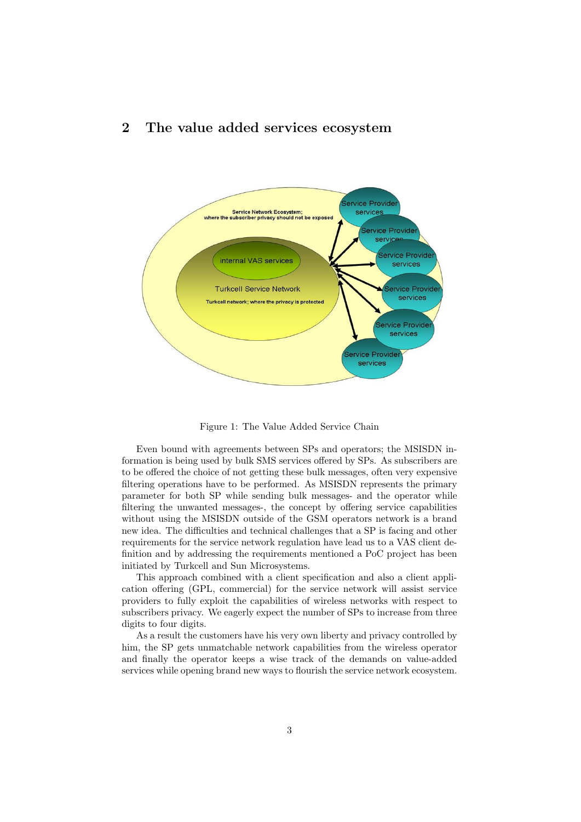## 2 The value added services ecosystem



Figure 1: The Value Added Service Chain

Even bound with agreements between SPs and operators; the MSISDN information is being used by bulk SMS services offered by SPs. As subscribers are to be offered the choice of not getting these bulk messages, often very expensive filtering operations have to be performed. As MSISDN represents the primary parameter for both SP while sending bulk messages- and the operator while filtering the unwanted messages-, the concept by offering service capabilities without using the MSISDN outside of the GSM operators network is a brand new idea. The difficulties and technical challenges that a SP is facing and other requirements for the service network regulation have lead us to a VAS client definition and by addressing the requirements mentioned a PoC project has been initiated by Turkcell and Sun Microsystems.

This approach combined with a client specification and also a client application offering (GPL, commercial) for the service network will assist service providers to fully exploit the capabilities of wireless networks with respect to subscribers privacy. We eagerly expect the number of SPs to increase from three digits to four digits.

As a result the customers have his very own liberty and privacy controlled by him, the SP gets unmatchable network capabilities from the wireless operator and finally the operator keeps a wise track of the demands on value-added services while opening brand new ways to flourish the service network ecosystem.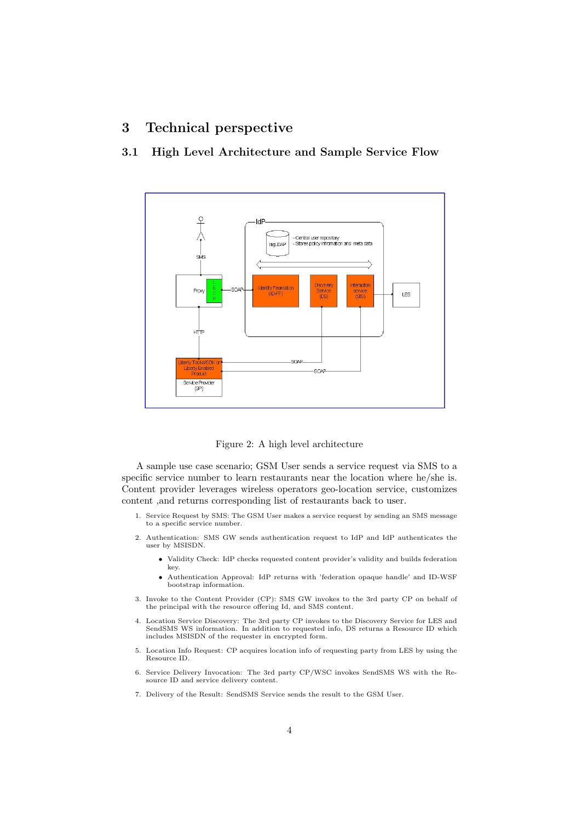## 3 Technical perspective



### 3.1 High Level Architecture and Sample Service Flow

Figure 2: A high level architecture

A sample use case scenario; GSM User sends a service request via SMS to a specific service number to learn restaurants near the location where he/she is. Content provider leverages wireless operators geo-location service, customizes content ,and returns corresponding list of restaurants back to user.

- 1. Service Request by SMS: The GSM User makes a service request by sending an SMS message to a specific service number.
- 2. Authentication: SMS GW sends authentication request to IdP and IdP authenticates the user by MSISDN.
	- Validity Check: IdP checks requested content provider's validity and builds federation key.
	- Authentication Approval: IdP returns with 'federation opaque handle' and ID-WSF bootstrap information.
- 3. Invoke to the Content Provider (CP): SMS GW invokes to the 3rd party CP on behalf of the principal with the resource offering Id, and SMS content.
- 4. Location Service Discovery: The 3rd party CP invokes to the Discovery Service for LES and SendSMS WS information. In addition to requested info, DS returns a Resource ID which includes MSISDN of the requester in encrypted form.
- 5. Location Info Request: CP acquires location info of requesting party from LES by using the Resource ID.
- 6. Service Delivery Invocation: The 3rd party CP/WSC invokes SendSMS WS with the Resource ID and service delivery content.
- 7. Delivery of the Result: SendSMS Service sends the result to the GSM User.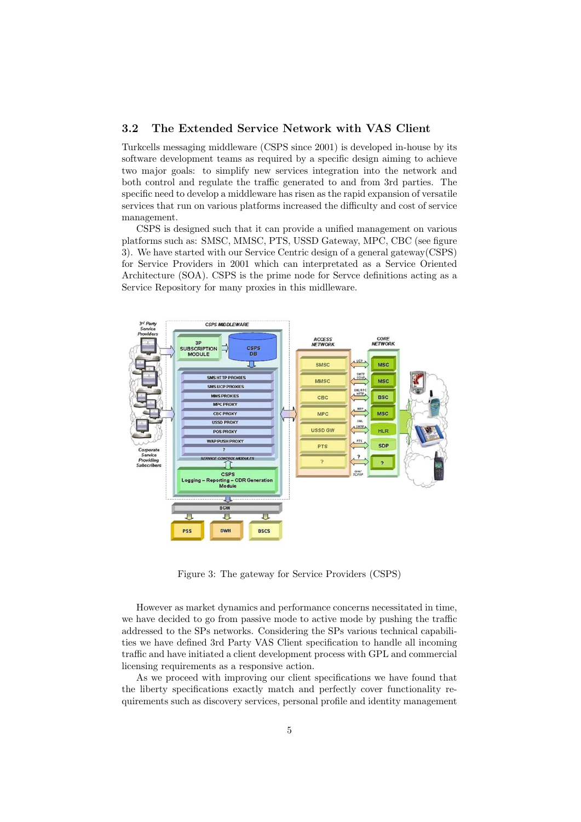#### 3.2 The Extended Service Network with VAS Client

Turkcells messaging middleware (CSPS since 2001) is developed in-house by its software development teams as required by a specific design aiming to achieve two major goals: to simplify new services integration into the network and both control and regulate the traffic generated to and from 3rd parties. The specific need to develop a middleware has risen as the rapid expansion of versatile services that run on various platforms increased the difficulty and cost of service management.

CSPS is designed such that it can provide a unified management on various platforms such as: SMSC, MMSC, PTS, USSD Gateway, MPC, CBC (see figure 3). We have started with our Service Centric design of a general gateway(CSPS) for Service Providers in 2001 which can interpretated as a Service Oriented Architecture (SOA). CSPS is the prime node for Servce definitions acting as a Service Repository for many proxies in this midlleware.



Figure 3: The gateway for Service Providers (CSPS)

However as market dynamics and performance concerns necessitated in time, we have decided to go from passive mode to active mode by pushing the traffic addressed to the SPs networks. Considering the SPs various technical capabilities we have defined 3rd Party VAS Client specification to handle all incoming traffic and have initiated a client development process with GPL and commercial licensing requirements as a responsive action.

As we proceed with improving our client specifications we have found that the liberty specifications exactly match and perfectly cover functionality requirements such as discovery services, personal profile and identity management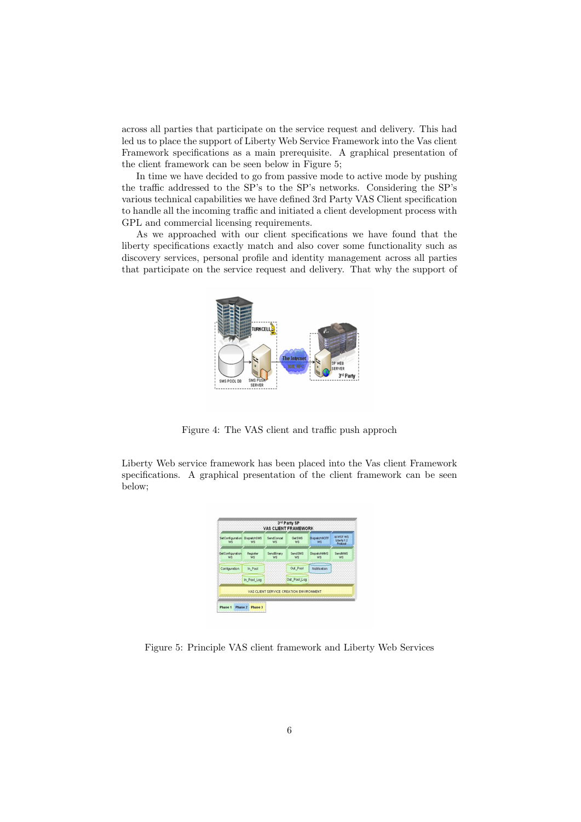across all parties that participate on the service request and delivery. This had led us to place the support of Liberty Web Service Framework into the Vas client Framework specifications as a main prerequisite. A graphical presentation of the client framework can be seen below in Figure 5;

In time we have decided to go from passive mode to active mode by pushing the traffic addressed to the SP's to the SP's networks. Considering the SP's various technical capabilities we have defined 3rd Party VAS Client specification to handle all the incoming traffic and initiated a client development process with GPL and commercial licensing requirements.

As we approached with our client specifications we have found that the liberty specifications exactly match and also cover some functionality such as discovery services, personal profile and identity management across all parties that participate on the service request and delivery. That why the support of



Figure 4: The VAS client and traffic push approch

Liberty Web service framework has been placed into the Vas client Framework specifications. A graphical presentation of the client framework can be seen below;

| SetConfiguration DispatchSMS<br>WS | <b>WS</b>             | SendConcat<br>WS        | <b>Get SMS</b><br><b>WS</b> | <b>DispatchNOTF</b><br>WS. | Id-WSF WS<br>Liberty 1.2<br>Protocol |
|------------------------------------|-----------------------|-------------------------|-----------------------------|----------------------------|--------------------------------------|
| GetConfiguration<br><b>WS</b>      | Register<br><b>WS</b> | SendBinary<br><b>WS</b> | SendSMS<br>WS               | <b>DispatchMMS</b><br>WS   | SendMMS<br><b>WS</b>                 |
| Configuration                      | In Pool               |                         | Out_Pool                    | Notification               |                                      |
|                                    | In Pool Log           |                         | Out Pool Log                |                            |                                      |

Figure 5: Principle VAS client framework and Liberty Web Services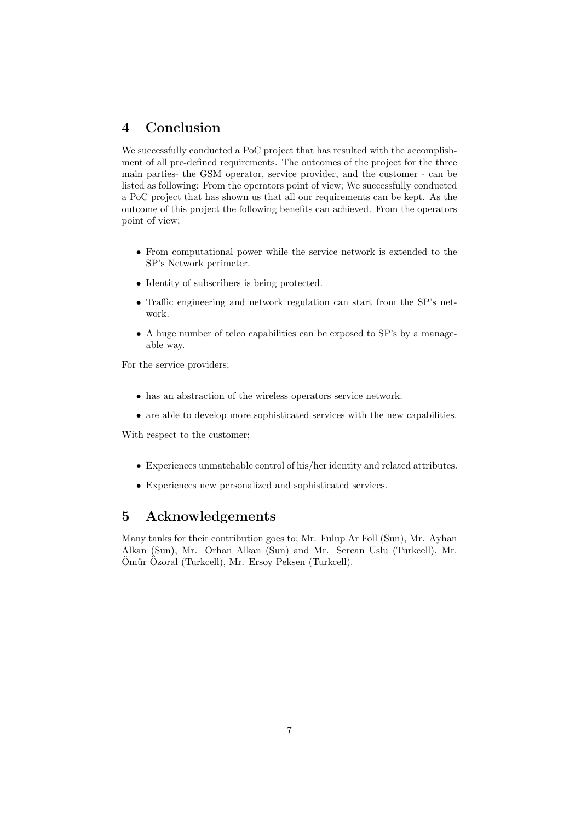# 4 Conclusion

We successfully conducted a PoC project that has resulted with the accomplishment of all pre-defined requirements. The outcomes of the project for the three main parties- the GSM operator, service provider, and the customer - can be listed as following: From the operators point of view; We successfully conducted a PoC project that has shown us that all our requirements can be kept. As the outcome of this project the following benefits can achieved. From the operators point of view;

- From computational power while the service network is extended to the SP's Network perimeter.
- Identity of subscribers is being protected.
- Traffic engineering and network regulation can start from the SP's network.
- A huge number of telco capabilities can be exposed to SP's by a manageable way.

For the service providers;

- has an abstraction of the wireless operators service network.
- are able to develop more sophisticated services with the new capabilities.

With respect to the customer;

- Experiences unmatchable control of his/her identity and related attributes.
- Experiences new personalized and sophisticated services.

### 5 Acknowledgements

Many tanks for their contribution goes to; Mr. Fulup Ar Foll (Sun), Mr. Ayhan Alkan (Sun), Mr. Orhan Alkan (Sun) and Mr. Sercan Uslu (Turkcell), Mr.  $\ddot{\text{O}}$ mür  $\ddot{\text{O}}$ zoral (Turkcell), Mr. Ersoy Peksen (Turkcell).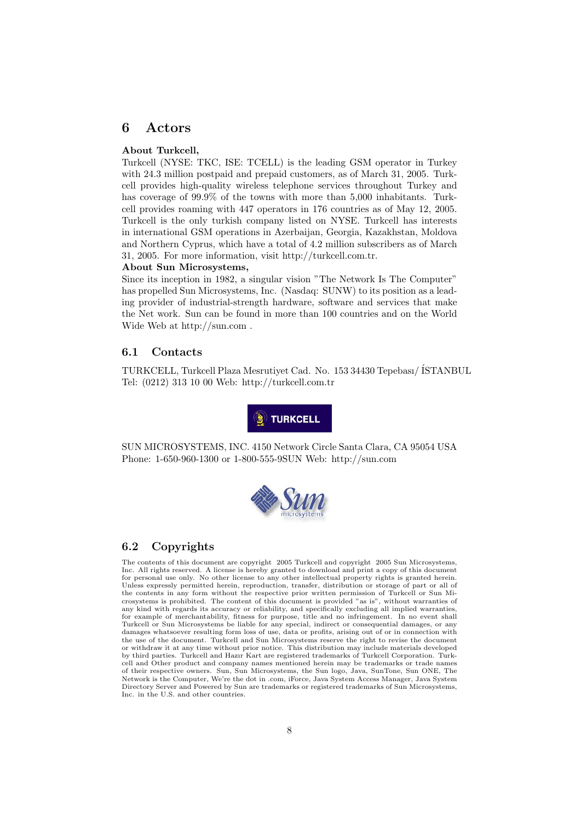### 6 Actors

#### About Turkcell,

Turkcell (NYSE: TKC, ISE: TCELL) is the leading GSM operator in Turkey with 24.3 million postpaid and prepaid customers, as of March 31, 2005. Turkcell provides high-quality wireless telephone services throughout Turkey and has coverage of 99.9% of the towns with more than 5,000 inhabitants. Turkcell provides roaming with 447 operators in 176 countries as of May 12, 2005. Turkcell is the only turkish company listed on NYSE. Turkcell has interests in international GSM operations in Azerbaijan, Georgia, Kazakhstan, Moldova and Northern Cyprus, which have a total of 4.2 million subscribers as of March 31, 2005. For more information, visit http://turkcell.com.tr.

#### About Sun Microsystems,

Since its inception in 1982, a singular vision "The Network Is The Computer" has propelled Sun Microsystems, Inc. (Nasdaq: SUNW) to its position as a leading provider of industrial-strength hardware, software and services that make the Net work. Sun can be found in more than 100 countries and on the World Wide Web at http://sun.com .

### 6.1 Contacts

TURKCELL, Turkcell Plaza Mesrutiyet Cad. No. 153 34430 Tepebası/ İSTANBUL Tel: (0212) 313 10 00 Web: http://turkcell.com.tr



SUN MICROSYSTEMS, INC. 4150 Network Circle Santa Clara, CA 95054 USA Phone: 1-650-960-1300 or 1-800-555-9SUN Web: http://sun.com



#### 6.2 Copyrights

The contents of this document are copyright 2005 Turkcell and copyright 2005 Sun Microsystems, Inc. All rights reserved. A license is hereby granted to download and print a copy of this document for personal use only. No other license to any other intellectual property rights is granted herein. Unless expressly permitted herein, reproduction, transfer, distribution or storage of part or all of the contents in any form without the respective prior written permission of Turkcell or Sun Mi-crosystems is prohibited. The content of this document is provided "as is", without warranties of any kind with regards its accuracy or reliability, and specifically excluding all implied warranties, for example of merchantability, fitness for purpose, title and no infringement. In no event shall Turkcell or Sun Microsystems be liable for any special, indirect or consequential damages, or any damages whatsoever resulting form loss of use, data or profits, arising out of or in connection with the use of the document. Turkcell and Sun Microsystems reserve the right to revise the document or withdraw it at any time without prior notice. This distribution may include materials developed by third parties. Turkcell and Hazır Kart are registered trademarks of Turkcell Corporation. Turkcell and Other product and company names mentioned herein may be trademarks or trade names of their respective owners. Sun, Sun Microsystems, the Sun logo, Java, SunTone, Sun ONE, The Network is the Computer, We're the dot in .com, iForce, Java System Access Manager, Java System Directory Server and Powered by Sun are trademarks or registered trademarks of Sun Microsystems, Inc. in the U.S. and other countries.